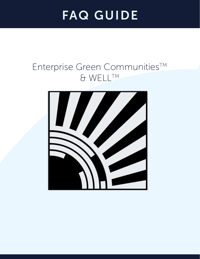# FAQ GUIDE

# Enterprise Green CommunitiesTM & WELLTM

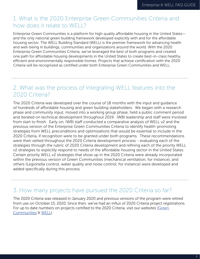# 1. What is the 2020 Enterprise Green Communities Criteria and how does it relate to WELL?

Enterprise Green Communities is a platform for high quality affordable housing in the United States and the only national green building framework developed explicitly with and for the affordable housing sector. The WELL Building Standard (WELL) is the premier framework for advancing health and well-being in buildings, communities and organizations around the world. With the 2020 Enterprise Green Communities Criteria, we've leveraged the best of both programs and created one path for affordable housing developments in the United States to create best-in-class healthy, efficient and environmentally responsible homes. Projects that achieve certification with the 2020 Criteria will be recognized as certified under both Enterprise Green Communities and WELL.

# 2. What was the process of integrating WELL features into the 2020 Criteria?

The 2020 Criteria was developed over the course of 18 months with the input and guidance of hundreds of affordable housing and green building stakeholders. We began with a research phase and community input, moved into a working group phase, held a public comment period and iterated on technical development throughout 2019. IWBI leadership and staff were involved from start to finish. Early on, IWBI staff conducted a comparative analysis of WELL v2 and the previous version of the Enterprise Green Communities Criteria to identify health-promoting strategies from WELL preconditions and optimizations that would be essential to include in the 2020 Criteria, if recognition were to be granted under both programs. These recommendations were then vetted throughout the 2020 Criteria development process - evaluating each of the strategies through the rubric of 2020 Criteria development and refining each of the priority WELL v2 strategies to explicitly respond to needs of the affordable housing sector in the United States. Certain priority WELL v2 strategies that show up in the 2020 Criteria were already incorporated within the previous version of Green Communities (mechanical ventilation, for instance), and others (Legionella control, water quality and noise control, for instance) were developed and added specifically during this process.

#### 3. How many projects have pursued the 2020 Criteria so far?

The 2020 Criteria was released in January 2020 and previous versions of the program were retired from use on October 15, 2020. Since then, we've had an influx of 2020 Criteria project registrations. For up to date numbers on projects certified to the 2020 Criteria, visit our websites (Green [Communities](http://greencommunitiesonline.org) & [WELL](http://wellcertified.com)).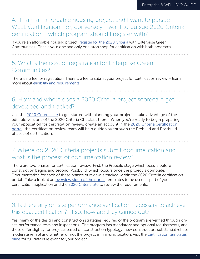4. If I am an affordable housing project and I want to pursue WELL Certification - or, conversely, I want to pursue 2020 Criteria certification - which program should I register with?

If you're an affordable housing project, [register for the 2020 Criteria](http://greencommunitiesonline.org) with Enterprise Green Communities. That is your one and only one-stop shop for certification with both programs.

# 5. What is the cost of registration for Enterprise Green Communities?

There is no fee for registration. There is a fee to submit your project for certification review – learn more about [eligibility and requirements](http://www.greencommunitiesonline.org).

6. How and where does a 2020 Criteria project scorecard get developed and tracked?

Use the [2020 Criteria site](https://greencommunitiesonline.org/) to get started with planning your project – take advantage of the editable versions of the 2020 Criteria Checklist there. When you're ready to begin preparing your application for certification review, create an account in the [2020 Criteria certification](https://youtu.be/tVQ2QdMHERM)  [portal;](https://youtu.be/tVQ2QdMHERM) the certification review team will help guide you through the Prebuild and Postbuild phases of certification.

# 7. Where do 2020 Criteria projects submit documentation and what is the process of documentation review?

There are two phases for certification review. First, the Prebuild stage which occurs before construction begins and second, Postbuild, which occurs once the project is complete. Documentation for each of these phases of review is tracked within the 2020 Criteria certification portal. Take a look at an [overview video of the portal](https://youtu.be/tVQ2QdMHERM), templates to be used as part of your certification application and the [2020 Criteria site](https://www.greencommunitiesonline.org/) to review the requirements.

#### 8. Is there any on-site performance verification necessary to achieve this dual certification? If so, how are they carried out?

Yes, many of the design and construction strategies required of the program are verified through onsite performance tests and inspections. The program has mandatory and optional requirements, and these differ slightly for projects based on construction typology (new construction, substantial rehab, moderate rehab) and whether or not the project is in a rural location. Visit the [certification templates](https://www.greencommunitiesonline.org/templates-certification)  [page](https://www.greencommunitiesonline.org/templates-certification) for full details relevant to your project.